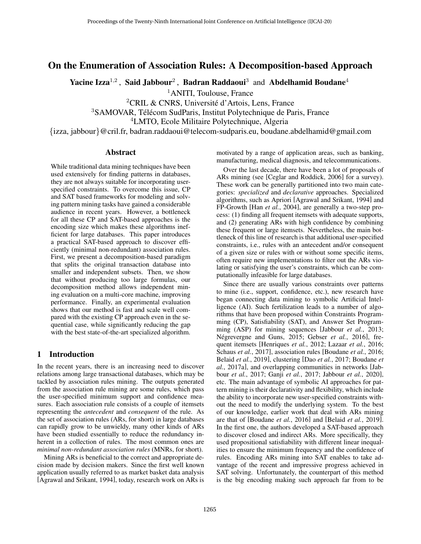# On the Enumeration of Association Rules: A Decomposition-based Approach

Yacine Izza<sup>1,2</sup>, Said Jabbour<sup>2</sup>, Badran Raddaoui<sup>3</sup> and Abdelhamid Boudane<sup>4</sup>

<sup>1</sup>ANITI, Toulouse, France

 ${}^{2}$ CRIL & CNRS, Université d'Artois, Lens, France

<sup>3</sup>SAMOVAR, Télécom SudParis, Institut Polytechnique de Paris, France

<sup>4</sup>LMTO, Ecole Militaire Polytechnique, Algeria

{izza, jabbour}@cril.fr, badran.raddaoui@telecom-sudparis.eu, boudane.abdelhamid@gmail.com

#### Abstract

While traditional data mining techniques have been used extensively for finding patterns in databases, they are not always suitable for incorporating userspecified constraints. To overcome this issue, CP and SAT based frameworks for modeling and solving pattern mining tasks have gained a considerable audience in recent years. However, a bottleneck for all these CP and SAT-based approaches is the encoding size which makes these algorithms inefficient for large databases. This paper introduces a practical SAT-based approach to discover efficiently (minimal non-redundant) association rules. First, we present a decomposition-based paradigm that splits the original transaction database into smaller and independent subsets. Then, we show that without producing too large formulas, our decomposition method allows independent mining evaluation on a multi-core machine, improving performance. Finally, an experimental evaluation shows that our method is fast and scale well compared with the existing CP approach even in the sequential case, while significantly reducing the gap with the best state-of-the-art specialized algorithm.

## 1 Introduction

In the recent years, there is an increasing need to discover relations among large transactional databases, which may be tackled by association rules mining. The outputs generated from the association rule mining are some rules, which pass the user-specified minimum support and confidence measures. Each association rule consists of a couple of itemsets representing the *antecedent* and *consequent* of the rule. As the set of association rules (ARs, for short) in large databases can rapidly grow to be unwieldy, many other kinds of ARs have been studied essentially to reduce the redundancy inherent in a collection of rules. The most common ones are *minimal non-redundant association rules* (MNRs, for short).

Mining ARs is beneficial to the correct and appropriate decision made by decision makers. Since the first well known application usually referred to as market basket data analysis [\[Agrawal and Srikant, 1994\]](#page-6-0), today, research work on ARs is motivated by a range of application areas, such as banking, manufacturing, medical diagnosis, and telecommunications.

Over the last decade, there have been a lot of proposals of ARs mining (see [\[Ceglar and Roddick, 2006\]](#page-6-1) for a survey). These work can be generally partitioned into two main categories: *specialized* and *declarative* approaches. Specialized algorithms, such as Apriori [\[Agrawal and Srikant, 1994\]](#page-6-0) and FP-Growth [Han *et al.*[, 2004\]](#page-6-2), are generally a two-step process: (1) finding all frequent itemsets with adequate supports, and (2) generating ARs with high confidence by combining these frequent or large itemsets. Nevertheless, the main bottleneck of this line of research is that additional user-specified constraints, i.e., rules with an antecedent and/or consequent of a given size or rules with or without some specific items, often require new implementations to filter out the ARs violating or satisfying the user's constraints, which can be computationally infeasible for large databases.

Since there are usually various constraints over patterns to mine (i.e., support, confidence, etc.), new research have began connecting data mining to symbolic Artificial Intelligence (AI). Such fertilization leads to a number of algorithms that have been proposed within Constraints Programming (CP), Satisfiability (SAT), and Answer Set Programming (ASP) for mining sequences [\[Jabbour](#page-6-3) *et al.*, 2013; Négrevergne and Guns, 2015; Gebser et al.[, 2016\]](#page-6-5), frequent itemsets [\[Henriques](#page-6-6) *et al.*, 2012; [Lazaar](#page-6-7) *et al.*, 2016; Schaus *et al.*[, 2017\]](#page-6-8), association rules [\[Boudane](#page-6-9) *et al.*, 2016; Belaid *et al.*[, 2019\]](#page-6-10), clustering [Dao *et al.*[, 2017;](#page-6-11) [Boudane](#page-6-12) *et al.*[, 2017a\]](#page-6-12), and overlapping communities in networks [\[Jab](#page-6-13)bour *et al.*[, 2017;](#page-6-13) Ganji *et al.*[, 2017;](#page-6-14) [Jabbour](#page-6-15) *et al.*, 2020], etc. The main advantage of symbolic AI approaches for pattern mining is their declarativity and flexibility, which include the ability to incorporate new user-specified constraints without the need to modify the underlying system. To the best of our knowledge, earlier work that deal with ARs mining are that of [\[Boudane](#page-6-9) *et al.*, 2016] and [\[Belaid](#page-6-10) *et al.*, 2019]. In the first one, the authors developed a SAT-based approach to discover closed and indirect ARs. More specifically, they used propositional satisfiability with different linear inequalities to ensure the minimum frequency and the confidence of rules. Encoding ARs mining into SAT enables to take advantage of the recent and impressive progress achieved in SAT solving. Unfortunately, the counterpart of this method is the big encoding making such approach far from to be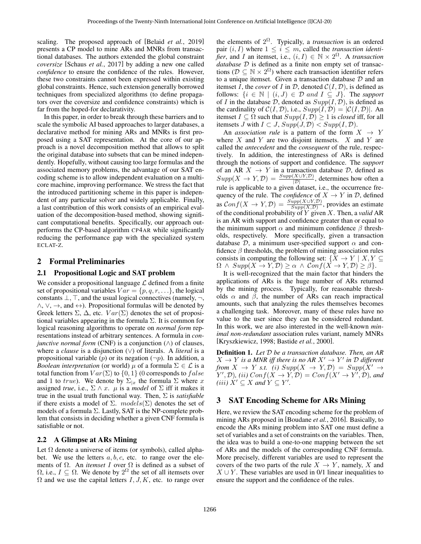scaling. The proposed approach of [Belaid *et al.*[, 2019\]](#page-6-10) presents a CP model to mine ARs and MNRs from transactional databases. The authors extended the global constraint *coversize* [\[Schaus](#page-6-8) *et al.*, 2017] by adding a new one called *confidence* to ensure the confidence of the rules. However, these two constraints cannot been expressed within existing global constraints. Hence, such extension generally borrowed techniques from specialized algorithms (to define propagators over the coversize and confidence constraints) which is far from the hoped-for declarativity.

In this paper, in order to break through these barriers and to scale the symbolic AI based approaches to larger databases, a declarative method for mining ARs and MNRs is first proposed using a SAT representation. At the core of our approach is a novel decomposition method that allows to split the original database into subsets that can be mined independently. Hopefully, without causing too large formulas and the associated memory problems, the advantage of our SAT encoding scheme is to allow independent evaluation on a multicore machine, improving performance. We stress the fact that the introduced partitioning scheme in this paper is independent of any particular solver and widely applicable. Finally, a last contribution of this work consists of an empirical evaluation of the decomposition-based method, showing significant computational benefits. Specifically, our approach outperforms the CP-based algorithm CP4AR while significantly reducing the performance gap with the specialized system ECLAT-Z.

### 2 Formal Preliminaries

#### 2.1 Propositional Logic and SAT problem

We consider a propositional language  $\mathcal L$  defined from a finite set of propositional variables  $Var = \{p, q, r, \ldots\}$ , the logical constants  $\bot$ ,  $\top$ , and the usual logical connectives (namely,  $\neg$ , ∧, ∨, →, and ↔). Propositional formulas will be denoted by Greek letters  $\Sigma$ ,  $\Delta$ , etc.  $Var(\Sigma)$  denotes the set of propositional variables appearing in the formula  $\Sigma$ . It is common for logical reasoning algorithms to operate on *normal form* representations instead of arbitrary sentences. A formula in *conjunctive normal form* (CNF) is a conjunction  $($  $\wedge)$  of clauses, where a *clause* is a disjunction (∨) of literals. A *literal* is a propositional variable  $(p)$  or its negation  $(\neg p)$ . In addition, a *Boolean interpretation* (or world)  $\mu$  of a formula  $\Sigma \in \mathcal{L}$  is a total function from  $Var(\Sigma)$  to  $\{0, 1\}$  (0 corresponds to  $false$ and 1 to true). We denote by  $\Sigma_{x}$  the formula  $\Sigma$  where x assigned *true*, i.e.,  $\Sigma \wedge x$ .  $\mu$  is a *model* of  $\Sigma$  iff it makes it true in the usual truth functional way. Then, Σ is *satisfiable* if there exists a model of  $\Sigma$ . models( $\Sigma$ ) denotes the set of models of a formula  $\Sigma$ . Lastly, SAT is the NP-complete problem that consists in deciding whether a given CNF formula is satisfiable or not.

### 2.2 A Glimpse at ARs Mining

Let  $\Omega$  denote a universe of items (or symbols), called alphabet. We use the letters  $a, b, c$ , etc. to range over the elements of  $\Omega$ . An *itemset* I over  $\Omega$  is defined as a subset of  $\Omega$ , i.e.,  $I \subseteq \Omega$ . We denote by  $2^{\Omega}$  the set of all itemsets over  $\Omega$  and we use the capital letters  $I, J, K$ , etc. to range over

the elements of  $2^{\Omega}$ . Typically, a *transaction* is an ordered pair  $(i, I)$  where  $1 \leq i \leq m$ , called the *transaction identifier*, and *I* an itemset, i.e.,  $(i, I) \in \mathbb{N} \times 2^{\Omega}$ . A *transaction database* D is defined as a finite non empty set of transactions ( $\mathcal{D} \subseteq \mathbb{N} \times 2^{\Omega}$ ) where each transaction identifier refers to a unique itemset. Given a transaction database  $D$  and an itemset I, the *cover* of I in  $D$ , denoted  $C(I, D)$ , is defined as follows:  $\{i \in \mathbb{N} \mid (i, J) \in \mathcal{D} \text{ and } I \subseteq J\}$ . The *support* of I in the database D, denoted as  $Supp(I, D)$ , is defined as the cardinality of  $C(I, \mathcal{D})$ , i.e.,  $Supp(I, \mathcal{D}) = |C(I, \mathcal{D})|$ . An itemset  $I \subseteq \Omega$  such that  $Supp(I, \mathcal{D}) \geq 1$  is *closed* iff, for all itemsets J with  $I \subset J$ ,  $Supp(J, \mathcal{D}) < Supp(I, \mathcal{D})$ .

An *association rule* is a pattern of the form  $X \rightarrow Y$ where  $X$  and  $Y$  are two disjoint itemsets.  $X$  and  $Y$  are called the *antecedent* and the *consequent* of the rule, respectively. In addition, the interestingness of ARs is defined through the notions of support and confidence. The *support* of an AR  $X \rightarrow Y$  in a transaction database D, defined as  $Supp(X \to Y, \mathcal{D}) = \frac{Supp(X \cup Y, \mathcal{D})}{|\mathcal{D}|}$ , determines how often a rule is applicable to a given dataset, i.e., the occurrence frequency of the rule. The *confidence* of  $X \to Y$  in  $D$ , defined as  $Conf(X \to Y, \mathcal{D}) = \frac{Supp(X \cup Y, \mathcal{D})}{Supp(X, \mathcal{D})}$ , provides an estimate of the conditional probability of Y given X. Then, a *valid* AR is an AR with support and confidence greater than or equal to the minimum support  $\alpha$  and minimum confidence  $\beta$  thresholds, respectively. More specifically, given a transaction database  $\mathcal{D}$ , a minimum user-specified support  $\alpha$  and confidence  $\beta$  thresholds, the problem of mining association rules consists in computing the following set:  $\{X \to Y \mid X, Y \subseteq \emptyset\}$  $\Omega \wedge Supp(X \to Y, \mathcal{D}) \geq \alpha \wedge Conf(X \to Y, \mathcal{D}) \geq \beta$ .

It is well-recognized that the main factor that hinders the applications of ARs is the huge number of ARs returned by the mining process. Typically, for reasonable thresholds  $\alpha$  and  $\beta$ , the number of ARs can reach impractical amounts, such that analyzing the rules themselves becomes a challenging task. Moreover, many of these rules have no value to the user since they can be considered redundant. In this work, we are also interested in the well-known *minimal non-redundant* association rules variant, namely MNRs [\[Kryszkiewicz, 1998;](#page-6-16) [Bastide](#page-6-17) *et al.*, 2000].

Definition 1. *Let* D *be a transaction database. Then, an AR*  $X \to Y$  is a MNR iff there is no AR  $X' \to Y'$  in  $D$  different *from*  $X \to Y$  *s.t.* (*i*)  $Supp(X \to Y, \mathcal{D}) = Supp(X' \to \mathcal{D})$  $(Y', \mathcal{D})$ , (ii)  $Conf(X \to Y, \mathcal{D}) = Conf(X' \to Y', \mathcal{D})$ , and *(iii)*  $X' \subseteq X$  *and*  $Y \subseteq Y'$ *.* 

# 3 SAT Encoding Scheme for ARs Mining

Here, we review the SAT encoding scheme for the problem of mining ARs proposed in [\[Boudane](#page-6-9) *et al.*, 2016]. Basically, to encode the ARs mining problem into SAT one must define a set of variables and a set of constraints on the variables. Then, the idea was to build a one-to-one mapping between the set of ARs and the models of the corresponding CNF formula. More precisely, different variables are used to represent the covers of the two parts of the rule  $X \to Y$ , namely, X and  $X \cup Y$ . These variables are used in 0/1 linear inequalities to ensure the support and the confidence of the rules.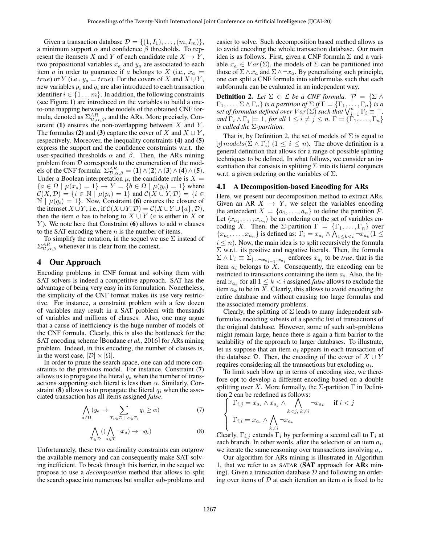Given a transaction database  $\mathcal{D} = \{(1, I_1), \ldots, (m, I_m)\},\$ a minimum support  $\alpha$  and confidence  $\beta$  thresholds. To represent the itemsets X and Y of each candidate rule  $X \to Y$ , two propositional variables  $x_a$  and  $y_a$  are associated to each item a in order to guarantee if a belongs to X (i.e.,  $x_a$  = *true*) or Y (i.e.,  $y_a = true$ ). For the covers of X and  $X \cup Y$ , new variables  $p_i$  and  $q_i$  are also introduced to each transaction identifier  $i \in \{1 \dots m\}$ . In addition, the following constraints (see Figure [1\)](#page-3-0) are introduced on the variables to build a oneto-one mapping between the models of the obtained CNF formula, denoted as  $\Sigma_{\mathcal{D},\alpha,\beta}^{AR}$ , and the ARs. More precisely, Con-straint [\(1\)](#page-3-1) ensures the non-overlapping between  $X$  and  $Y$ . The formulas [\(2\)](#page-3-2) and [\(3\)](#page-3-3) capture the cover of X and  $X \cup Y$ , respectively. Moreover, the inequality constraints [\(4\)](#page-3-4) and [\(5\)](#page-3-5) express the support and the confidence constraints w.r.t. the user-specified thresholds  $\alpha$  and  $\beta$ . Then, the ARs mining problem from D corresponds to the enumeration of the models of the CNF formula:  $\Sigma_{\mathcal{D},\alpha,\beta}^{AR} = (1) \wedge (2) \wedge (3) \wedge (4) \wedge (5)$  $\Sigma_{\mathcal{D},\alpha,\beta}^{AR} = (1) \wedge (2) \wedge (3) \wedge (4) \wedge (5)$  $\Sigma_{\mathcal{D},\alpha,\beta}^{AR} = (1) \wedge (2) \wedge (3) \wedge (4) \wedge (5)$  $\Sigma_{\mathcal{D},\alpha,\beta}^{AR} = (1) \wedge (2) \wedge (3) \wedge (4) \wedge (5)$  $\Sigma_{\mathcal{D},\alpha,\beta}^{AR} = (1) \wedge (2) \wedge (3) \wedge (4) \wedge (5)$  $\Sigma_{\mathcal{D},\alpha,\beta}^{AR} = (1) \wedge (2) \wedge (3) \wedge (4) \wedge (5)$  $\Sigma_{\mathcal{D},\alpha,\beta}^{AR} = (1) \wedge (2) \wedge (3) \wedge (4) \wedge (5)$  $\Sigma_{\mathcal{D},\alpha,\beta}^{AR} = (1) \wedge (2) \wedge (3) \wedge (4) \wedge (5)$  $\Sigma_{\mathcal{D},\alpha,\beta}^{AR} = (1) \wedge (2) \wedge (3) \wedge (4) \wedge (5)$  $\Sigma_{\mathcal{D},\alpha,\beta}^{AR} = (1) \wedge (2) \wedge (3) \wedge (4) \wedge (5)$  $\Sigma_{\mathcal{D},\alpha,\beta}^{AR} = (1) \wedge (2) \wedge (3) \wedge (4) \wedge (5)$ . Under a Boolean interpretation  $\mu$ , the candidate rule is  $X =$  ${a \in \Omega \mid \mu(x_a) = 1} \rightarrow Y = {b \in \Omega \mid \mu(y_b) = 1}$  where  $\mathcal{C}(X,\mathcal{D}) = \{i \in \mathbb{N} \mid \mu(p_i) = 1\}$  and  $\mathcal{C}(X \cup Y, \mathcal{D}) = \{i \in \mathcal{D} \mid \mu(p_i) = 1\}$  $\mathbb{N} \mid \mu(q_i) = 1$ . Now, Constraint [\(6\)](#page-3-6) ensures the closure of the itemset  $X \cup Y$ , i.e., if  $C(X \cup Y, \mathcal{D}) = C(X \cup Y \cup \{a\}, \mathcal{D})$ , then the item a has to belong to  $X \cup Y$  (a is either in X or Y). We note here that Constraint  $(6)$  $(6)$  $(6)$  allows to add n clauses to the SAT encoding where  $n$  is the number of items.

To simplify the notation, in the sequel we use  $\Sigma$  instead of  $\Sigma_{\mathcal{D}, \alpha, \beta}^{AR}$  whenever it is clear from the context.

## 4 Our Approach

Encoding problems in CNF format and solving them with SAT solvers is indeed a competitive approach. SAT has the advantage of being very easy in its formulation. Nonetheless, the simplicity of the CNF format makes its use very restrictive. For instance, a constraint problem with a few dozen of variables may result in a SAT problem with thousands of variables and millions of clauses. Also, one may argue that a cause of inefficiency is the huge number of models of the CNF formula. Clearly, this is also the bottleneck for the SAT encoding scheme [\[Boudane](#page-6-9) *et al.*, 2016] for ARs mining problem. Indeed, in this encoding, the number of clauses is, in the worst case,  $|\mathcal{D}| \times |\Omega|$ .

In order to prune the search space, one can add more constraints to the previous model. For instance, Constraint ([7](#page-2-0)) allows us to propagate the literal  $y_a$  when the number of transactions supporting such literal is less than  $\alpha$ . Similarly, Con-straint ([8](#page-2-1)) allows us to propagate the literal  $q_i$  when the associated transaction has all items assigned *false*.

$$
\bigwedge_{a \in \Omega} (y_a \to \sum_{T_i \in \mathcal{D} \; | \; a \in T_i} q_i \ge \alpha) \tag{7}
$$

$$
\bigwedge_{T \in \mathcal{D}} ((\bigwedge_{a \in T} \neg x_a) \to \neg q_i)
$$
\n(8)

<span id="page-2-1"></span>Unfortunately, these two cardinality constraints can outgrow the available memory and can consequently make SAT solving inefficient. To break through this barrier, in the sequel we propose to use a *decomposition* method that allows to split the search space into numerous but smaller sub-problems and easier to solve. Such decomposition based method allows us to avoid encoding the whole transaction database. Our main idea is as follows. First, given a CNF formula  $\Sigma$  and a variable  $x_a \in Var(\Sigma)$ , the models of  $\Sigma$  can be partitioned into those of  $\Sigma \wedge x_a$  and  $\Sigma \wedge \neg x_a$ . By generalizing such principle, one can split a CNF formula into subformulas such that each subformula can be evaluated in an independent way.

<span id="page-2-2"></span>**Definition 2.** Let  $\Sigma \in \mathcal{L}$  be a CNF formula.  $\mathcal{P} = \{\Sigma \land \Sigma\}$  $\Gamma_1,\ldots,\Sigma\wedge\Gamma_n\}$  *is a partition of*  $\Sigma$  *if*  $\Gamma=\{\Gamma_1,\ldots,\Gamma_n\}$  *is a set of formulas defined over*  $Var(\Sigma)$  *such that*  $\bigvee_{i=1}^{n} \Gamma_i \equiv \top$ , *and*  $\Gamma_i \wedge \Gamma_j \models \bot$ *, for all*  $1 \leq i \neq j \leq n$ .  $\Gamma = \{\Gamma_1, \ldots, \Gamma_n\}$ *is called the* Σ*-partition.*

 $\biguplus \text{models}(\Sigma \wedge \Gamma_i)$   $(1 \leq i \leq n)$ . The above definition is a That is, by Definition [2,](#page-2-2) the set of models of  $\Sigma$  is equal to general definition that allows for a range of possible splitting techniques to be defined. In what follows, we consider an instantiation that consists in splitting  $\Sigma$  into its literal conjuncts w.r.t. a given ordering on the variables of  $\Sigma$ .

#### 4.1 A Decomposition-based Encoding for ARs

Here, we present our decomposition method to extract ARs. Given an AR  $X \rightarrow Y$ , we select the variables encoding the antecedent  $X = \{a_1, \ldots, a_n\}$  to define the partition  $P$ . Let  $\langle x_{a_1}, \ldots, x_{a_n} \rangle$  be an ordering on the set of variables encoding X. Then, the Σ-partition  $\Gamma = {\lbrace \Gamma_1, \ldots, \Gamma_n \rbrace}$  over  ${x_{a_1}, \ldots, x_{a_n}}$  is defined as:  $\Gamma_i = x_{a_i} \wedge \bigwedge_{1 \leq k < i} \neg x_{a_k} (1 \leq$  $i \leq n$ ). Now, the main idea is to split recursively the formula  $\Sigma$  w.r.t. its positive and negative literals. Then, the formula  $\Sigma \wedge \Gamma_i \equiv \Sigma_{\vert ... \neg x_{a_{i-1}}, x_{a_i}}$  enforces  $x_{a_i}$  to be *true*, that is the item  $a_i$  belongs to  $X$ . Consequently, the encoding can be restricted to transactions containing the item  $a_i$ . Also, the literal  $x_{a_k}$  for all  $1 \leq k < i$  assigned *false* allows to exclude the item  $a_k$  to be in X. Clearly, this allows to avoid encoding the entire database and without causing too large formulas and the associated memory problems.

Clearly, the splitting of  $\Sigma$  leads to many independent subformulas encoding subsets of a specific list of transactions of the original database. However, some of such sub-problems might remain large, hence there is again a firm barrier to the scalability of the approach to larger databases. To illustrate, let us suppose that an item  $a_i$  appears in each transaction of the database D. Then, the encoding of the cover of  $X \cup Y$ requires considering all the transactions but excluding  $a_i$ .

<span id="page-2-0"></span>To limit such blow up in terms of encoding size, we therefore opt to develop a different encoding based on a double splitting over X. More formally, the  $\Sigma$ -partition  $\Gamma$  in Definition [2](#page-2-2) can be redefined as follows:

$$
\left\{\n\begin{array}{ll}\n\Gamma_{i,j} = x_{a_i} \wedge x_{a_j} \wedge \bigwedge_{k < j, \; k \neq i} \neg x_{a_k} & \text{if } i < j \\
\Gamma_{i,i} = x_{a_i} \wedge \bigwedge_{k \neq i} \neg x_{a_k} & \end{array}\n\right.
$$

Clearly,  $\Gamma_{i,j}$  extends  $\Gamma_i$  by performing a second call to  $\Gamma_i$  at each branch. In other words, after the selection of an item  $a_i$ , we iterate the same reasoning over transactions involving  $a_i$ .

Our algorithm for ARs mining is illustrated in Algorithm [1,](#page-3-7) that we refer to as SATAR (SAT approach for ARs mining). Given a transaction database  $D$  and following an ordering over items of  $D$  at each iteration an item  $a$  is fixed to be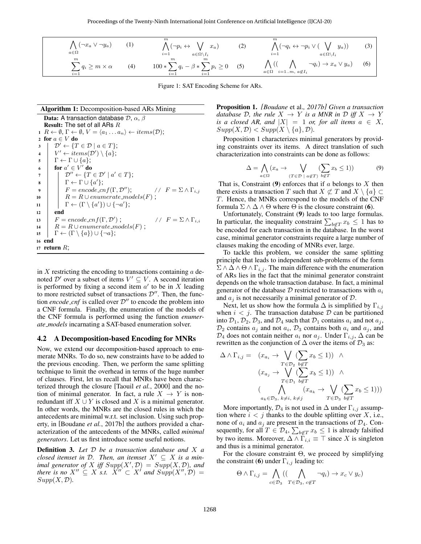<span id="page-3-4"></span><span id="page-3-1"></span><span id="page-3-0"></span>

| $\bigwedge$ $(\neg x_a \vee \neg y_a)$<br>$a \in \Omega$ | (1) | $\bigwedge (\neg p_i \leftrightarrow \bigvee x_a)$<br>$i=1$<br>$a \in \Omega \backslash I_i$ | (2) | $\boldsymbol{m}$<br>$\bigwedge (\neg q_i \leftrightarrow \neg p_i \vee (\bigvee y_a))$<br>$i=1$<br>$a \in \Omega \backslash I_i$ | (3) |
|----------------------------------------------------------|-----|----------------------------------------------------------------------------------------------|-----|----------------------------------------------------------------------------------------------------------------------------------|-----|
| $_{m}$<br>$\sum q_i \geq m \times \alpha$<br>$i=1$       | (4) | $100 * \sum q_i - \beta * \sum p_i \ge 0$ (5)<br>$i=1$<br>$i=1$                              |     | $\Lambda$ ((<br>$\neg q_i) \rightarrow x_a \vee y_a$<br>$a \in \Omega$ $i=1m, a \notin I_i$                                      | (6) |

<span id="page-3-5"></span><span id="page-3-2"></span>Figure 1: SAT Encoding Scheme for ARs.

#### Algorithm 1: Decomposition-based ARs Mining Data: A transaction database  $\mathcal{D}$ ,  $\alpha$ ,  $\beta$ Result: The set of all ARs R  $1 \ R \leftarrow \emptyset, \Gamma \leftarrow \emptyset, V = \langle a_1 \dots a_n \rangle \leftarrow items(\mathcal{D});$ 2 for  $a \in V$  do  $3 \mid \mathcal{D}' \leftarrow \{T \in \mathcal{D} \mid a \in T\};$ 4  $\mid V' \leftarrow items(\mathcal{D}') \setminus \{a\};$  $\mathfrak{s}$  |  $\Gamma \leftarrow \Gamma \cup \{a\};$ 6 for  $a' \in V'$  do  $\sigma$  |  $\mathcal{D}'' \leftarrow \{T \in \mathcal{D}' \mid a' \in T\};$  $\begin{array}{ccc} \mathbf{s} & | & \Gamma \leftarrow \Gamma \cup \{a'\}; \end{array}$  $F = encode\_cnf(\Gamma, \mathcal{D}'')$ ; //  $F = \sum \wedge \Gamma_{i,j}$ 10 |  $R = R \cup enumerate\_models(F)$ ;  $\text{11}$   $\Gamma \leftarrow (\Gamma \setminus \{a'\}) \cup \{\neg a'\};$ 12 **end** 13  $F = encode\_cnf(\Gamma, \mathcal{D}')$ //  $F = \sum \wedge \Gamma_{i,i}$ 14  $R = R \cup enumerate\_models(F)$ ; 15  $\Gamma \leftarrow (\Gamma \setminus \{a\}) \cup \{\neg a\};$ <sup>16</sup> end 17 return  $R$ ;

<span id="page-3-7"></span>in  $X$  restricting the encoding to transactions containing  $a$  denoted  $\mathcal{D}'$  over a subset of items  $V' \subseteq V$ . A second iteration is performed by fixing a second item  $a'$  to be in X leading to more restricted subset of transactions  $\mathcal{D}''$ . Then, the function *encode\_cnf* is called over  $D''$  to encode the problem into a CNF formula. Finally, the enumeration of the models of the CNF formula is performed using the function *enumerate models* incarnating a SAT-based enumeration solver.

#### 4.2 A Decomposition-based Encoding for MNRs

Now, we extend our decomposition-based approach to enumerate MNRs. To do so, new constraints have to be added to the previous encoding. Then, we perform the same splitting technique to limit the overhead in terms of the huge number of clauses. First, let us recall that MNRs have been characterized through the closure [Taouil *et al.*[, 2000\]](#page-6-18) and the notion of minimal generator. In fact, a rule  $X \rightarrow Y$  is nonredundant iff  $X \cup Y$  is closed and X is a minimal generator. In other words, the MNRs are the closed rules in which the antecedents are minimal w.r.t. set inclusion. Using such property, in [\[Boudane](#page-6-19) *et al.*, 2017b] the authors provided a characterization of the antecedents of the MNRs, called *minimal generators*. Let us first introduce some useful notions.

Definition 3. *Let* D *be a transaction database and* X *a closed itemset in*  $D$ . Then, an itemset  $X' \subseteq X$  is a min*imal generator of* X *iff*  $Supp(X', \mathcal{D}) = Supp(X, \mathcal{D})$ *, and there is no*  $X'' \subseteq X$  *s.t.*  $\overline{X''} \subset \overline{X'}$  *and*  $Supp(X'', \mathcal{D}) =$  $Supp(X, \mathcal{D}).$ 

<span id="page-3-8"></span><span id="page-3-6"></span><span id="page-3-3"></span>Proposition 1. *[\[Boudane](#page-6-19)* et al.*, 2017b] Given a transaction database* D, the rule  $X \rightarrow Y$  *is a MNR in* D *iff*  $X \rightarrow Y$ *is a closed AR, and*  $|X| = 1$  *or, for all items*  $a \in X$ ,  $Supp(X, \mathcal{D}) < Supp(X \setminus \{a\}, \mathcal{D})$ .

<span id="page-3-9"></span>Proposition [1](#page-3-8) characterizes minimal generators by providing constraints over its items. A direct translation of such characterization into constraints can be done as follows:

$$
\Delta = \bigwedge_{a \in \Omega} (x_a \to \bigvee_{(T \in \mathcal{D} \; | \; a \notin T)} (\sum_{b \notin T} x_b \le 1)) \tag{9}
$$

That is, Constraint  $(9)$  $(9)$  $(9)$  enforces that if a belongs to X then there exists a transaction T such that  $X \not\subset T$  and  $X \setminus \{a\} \subset$ T. Hence, the MNRs correspond to the models of the CNF formula  $\Sigma \wedge \Delta \wedge \Theta$  where  $\Theta$  is the closure constraint ([6](#page-3-6)).

Unfortunately, Constraint ([9](#page-3-9)) leads to too large formulas. In particular, the inequality constraint  $\sum_{b \notin T} x_b \leq 1$  has to be encoded for each transaction in the database. In the worst case, minimal generator constraints require a large number of clauses making the encoding of MNRs ever, large.

To tackle this problem, we consider the same splitting principle that leads to independent sub-problems of the form  $\Sigma \wedge \Delta \wedge \Theta \wedge \Gamma_{i,j}$ . The main difference with the enumeration of ARs lies in the fact that the minimal generator constraint depends on the whole transaction database. In fact, a minimal generator of the database  $D$  restricted to transactions with  $a_i$ and  $a_j$  is not necessarily a minimal generator of  $D$ .

Next, let us show how the formula  $\Delta$  is simplified by  $\Gamma_{i,j}$ when  $i < j$ . The transaction database  $D$  can be partitioned into  $\mathcal{D}_1, \mathcal{D}_2, \mathcal{D}_3$ , and  $\mathcal{D}_4$  such that  $\mathcal{D}_1$  contains  $a_i$  and not  $a_j$ ,  $\mathcal{D}_2$  contains  $a_j$  and not  $a_i$ ,  $\mathcal{D}_3$  contains both  $a_i$  and  $a_j$ , and  $\mathcal{D}_4$  does not contain neither  $a_i$  nor  $a_j$ . Under  $\Gamma_{i,j}$ ,  $\Delta$  can be rewritten as the conjunction of  $\Delta$  over the items of  $\mathcal{D}_3$  as:

$$
\Delta \wedge \Gamma_{i,j} = (x_{a_i} \rightarrow \bigvee_{T \in \mathcal{D}_2} (\sum_{b \notin T} x_b \le 1)) \wedge
$$
  
\n
$$
(x_{a_j} \rightarrow \bigvee_{T \in \mathcal{D}_1} (\sum_{b \notin T} x_b \le 1)) \wedge
$$
  
\n
$$
(\bigwedge_{a_k \in \mathcal{D}_3, \ k \ne i, \ k \ne j} (x_{a_k} \rightarrow \bigvee_{T \in \mathcal{D}_3} (\sum_{b \notin T} x_b \le 1)))
$$

More importantly,  $\mathcal{D}_4$  is not used in  $\Delta$  under  $\Gamma_{i,j}$  assumption where  $i < j$  thanks to the double splitting over X, i.e., none of  $a_i$  and  $a_j$  are present in the transactions of  $\mathcal{D}_4$ . Consequently, for all  $T \in \mathcal{D}_4$ ,  $\sum_{b \notin T} x_b \leq 1$  is already falsified by two items. Moreover,  $\Delta \wedge \Gamma_{i,i} \equiv \top$  since X is singleton and thus is a minimal generator.

For the closure constraint  $\Theta$ , we proceed by simplifying the constraint ([6](#page-3-6)) under  $\Gamma_{i,j}$  leading to:

$$
\Theta \wedge \Gamma_{i,j} = \bigwedge_{c \in \mathcal{D}_3} ((\bigwedge_{T \in \mathcal{D}_3, c \notin T} \neg q_i) \rightarrow x_c \vee y_c)
$$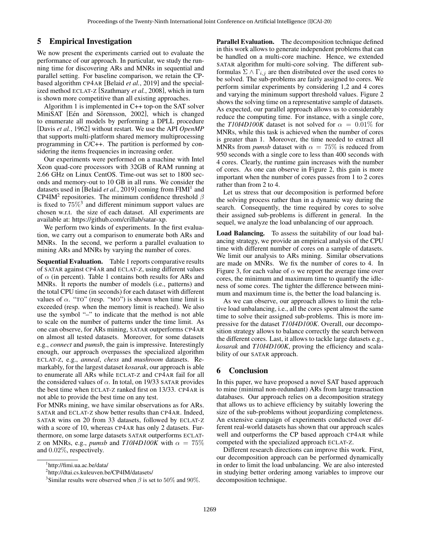## 5 Empirical Investigation

We now present the experiments carried out to evaluate the performance of our approach. In particular, we study the running time for discovering ARs and MNRs in sequential and parallel setting. For baseline comparison, we retain the CPbased algorithm CP4AR [\[Belaid](#page-6-10) *et al.*, 2019] and the specialized method ECLAT-Z [\[Szathmary](#page-6-20) *et al.*, 2008], which in turn is shown more competitive than all existing approaches.

Algorithm [1](#page-3-7) is implemented in C++ top-on the SAT solver MiniSAT [Eén and Sörensson, 2002], which is changed to enumerate all models by performing a DPLL procedure [Davis *et al.*[, 1962\]](#page-6-22) without restart. We use the API *OpenMP* that supports multi-platform shared memory multiprocessing programming in C/C++. The partition is performed by considering the items frequencies in increasing order.

Our experiments were performed on a machine with Intel Xeon quad-core processors with 32GB of RAM running at 2.66 GHz on Linux CentOS. Time-out was set to 1800 seconds and memory-out to 10 GB in all runs. We consider the datasets used in [\[Belaid](#page-6-10) et al., 20[1](#page-4-0)9] coming from FIMI<sup>1</sup> and CP4IM<sup>[2](#page-4-1)</sup> repositories. The minimum confidence threshold  $\beta$ is fixed to  $75\%$ <sup>[3](#page-4-2)</sup> and different minimum support values are chosen w.r.t. the size of each dataset. All experiments are available at: [https://github.com/crillab/satar-xp.](https://github.com/crillab/satar-xp)

We perform two kinds of experiments. In the first evaluation, we carry out a comparison to enumerate both ARs and MNRs. In the second, we perform a parallel evaluation to mining ARs and MNRs by varying the number of cores.

Sequential Evaluation. Table [1](#page-5-0) reports comparative results of SATAR against CP4AR and ECLAT-Z, using different values of  $\alpha$  (in percent). Table [1](#page-5-0) contains both results for ARs and MNRs. It reports the number of models (i.e., patterns) and the total CPU time (in seconds) for each dataset with different values of  $\alpha$ . "TO" (resp. "MO") is shown when time limit is exceeded (resp. when the memory limit is reached). We also use the symbol "–" to indicate that the method is not able to scale on the number of patterns under the time limit. As one can observe, for ARs mining, SATAR outperforms CP4AR on almost all tested datasets. Moreover, for some datasets e.g., *connect* and *pumsb*, the gain is impressive. Interestingly enough, our approach overpasses the specialized algorithm ECLAT-Z, e.g., *anneal*, *chess* and *mushroom* datasets. Remarkably, for the largest dataset *kosarak*, our approach is able to enumerate all ARs while ECLAT-Z and CP4AR fail for all the considered values of  $\alpha$ . In total, on 19/33 SATAR provides the best time when ECLAT-Z ranked first on 13/33. CP4AR is not able to provide the best time on any test.

For MNRs mining, we have similar observations as for ARs. SATAR and ECLAT-Z show better results than CP4AR. Indeed, SATAR wins on 20 from 33 datasets, followed by ECLAT-Z with a score of 10, whereas CP4AR has only 2 datasets. Furthermore, on some large datasets SATAR outperforms ECLATz on MNRs, e.g., *pumsb* and  $T1014D100K$  with  $\alpha = 75\%$ and 0.02%, respectively.

Parallel Evaluation. The decomposition technique defined in this work allows to generate independent problems that can be handled on a multi-core machine. Hence, we extended SATAR algorithm for multi-core solving. The different subformulas  $\Sigma \wedge \Gamma_{i,j}$  are then distributed over the used cores to be solved. The sub-problems are fairly assigned to cores. We perform similar experiments by considering 1,2 and 4 cores and varying the minimum support threshold values. Figure [2](#page-5-1) shows the solving time on a representative sample of datasets. As expected, our parallel approach allows us to considerably reduce the computing time. For instance, with a single core, the *T10I4D100K* dataset is not solved for  $\alpha = 0.01\%$  for MNRs, while this task is achieved when the number of cores is greater than 1. Moreover, the time needed to extract all MNRs from *pumsb* dataset with  $\alpha = 75\%$  is reduced from 950 seconds with a single core to less than 400 seconds with 4 cores. Clearly, the runtime gain increases with the number of cores. As one can observe in Figure [2,](#page-5-1) this gain is more important when the number of cores passes from 1 to 2 cores rather than from 2 to 4.

Let us stress that our decomposition is performed before the solving process rather than in a dynamic way during the search. Consequently, the time required by cores to solve their assigned sub-problems is different in general. In the sequel, we analyze the load unbalancing of our approach.

Load Balancing. To assess the suitability of our load balancing strategy, we provide an empirical analysis of the CPU time with different number of cores on a sample of datasets. We limit our analysis to ARs mining. Similar observations are made on MNRs. We fix the number of cores to 4. In Figure [3,](#page-5-2) for each value of  $\alpha$  we report the average time over cores, the minimum and maximum time to quantify the idleness of some cores. The tighter the difference between minimum and maximum time is, the better the load balancing is.

As we can observe, our approach allows to limit the relative load unbalancing, i.e., all the cores spent almost the same time to solve their assigned sub-problems. This is more impressive for the dataset *T10I4D100K*. Overall, our decomposition strategy allows to balance correctly the search between the different cores. Last, it allows to tackle large datasets e.g., *kosarak* and *T10I4D100K*, proving the efficiency and scalability of our SATAR approach.

# 6 Conclusion

In this paper, we have proposed a novel SAT based approach to mine (minimal non-redundant) ARs from large transaction databases. Our approach relies on a decomposition strategy that allows us to achieve efficiency by suitably lowering the size of the sub-problems without jeopardizing completeness. An extensive campaign of experiments conducted over different real-world datasets has shown that our approach scales well and outperforms the CP based approach CP4AR while competed with the specialized approach ECLAT-Z.

Different research directions can improve this work. First, our decomposition approach can be performed dynamically in order to limit the load unbalancing. We are also interested in studying better ordering among variables to improve our decomposition technique.

<span id="page-4-0"></span><sup>1</sup> <http://fimi.ua.ac.be/data/>

<span id="page-4-1"></span><sup>2</sup> <http://dtai.cs.kuleuven.be/CP4IM/datasets/>

<span id="page-4-2"></span><sup>&</sup>lt;sup>3</sup>Similar results were observed when  $\beta$  is set to 50% and 90%.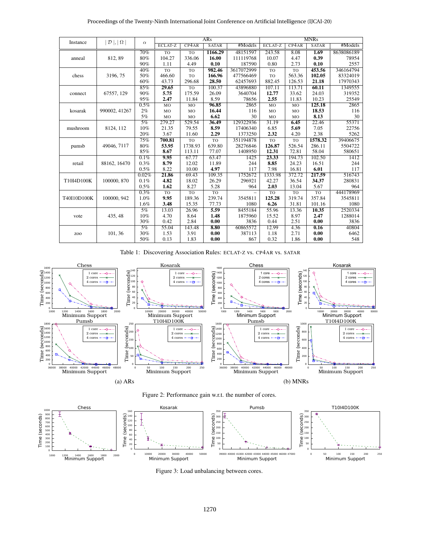| Proceedings of the Twenty-Ninth International Joint Conference on Artificial Intelligence (IJCAI-20) |  |  |  |
|------------------------------------------------------------------------------------------------------|--|--|--|
|------------------------------------------------------------------------------------------------------|--|--|--|

<span id="page-5-0"></span>

|             |                             |          | <b>ARs</b> |           |              | <b>MNRs</b> |         |        |                    |            |
|-------------|-----------------------------|----------|------------|-----------|--------------|-------------|---------|--------|--------------------|------------|
| Instance    | $\mathcal{D}$  ,   $\Omega$ | $\alpha$ | ECLAT-Z    | CP4AR     | <b>SATAR</b> | #Models     | ECLAT-Z | CP4AR  | <b>SATAR</b>       | #Models    |
| anneal      |                             | 70%      | <b>TO</b>  | <b>TO</b> | 1166.29      | 48151597    | 243.58  | 8.08   | 1.69               | 8638086189 |
|             | 812, 89                     | 80%      | 104.27     | 336.06    | 16.00        | 111119768   | 10.07   | 4.47   | 0.39               | 78954      |
|             |                             | 90%      | 1.11       | 4.49      | 0.10         | 187590      | 0.80    | 2.73   | 0.10               | 2557       |
|             | 3196, 75                    | 40%      | <b>TO</b>  | TO        | 982.46       | 3617072999  | TO      | TO     | 453.56             | 346164794  |
| chess       |                             | 50%      | 466.60     | TO        | 166.96       | 477566469   | TO      | 563.36 | 102.05             | 83324019   |
|             |                             | 60%      | 43.73      | 296.68    | 28.50        | 62457693    | 882.45  | 126.53 | 21.18              | 17970343   |
|             | 67557, 129                  | 85%      | 29.65      | <b>TO</b> | 100.37       | 43896880    | 107.11  | 113.71 | 60.11              | 1349555    |
| connect     |                             | 90%      | 5.75       | 175.59    | 26.09        | 3640704     | 12.77   | 33.62  | 24.03              | 319352     |
|             |                             | 95%      | 2.47       | 11.84     | 8.59         | 78656       | 2.55    | 11.83  | 10.23              | 25549      |
|             |                             | 0.5%     | MO         | MO        | 96.85        | 2865        | MO      | MO     | 125.18             | 2865       |
| kosarak     | 990002, 41267               | $2\%$    | MO         | MO        | 16.44        | 116         | MO      | MO     | 18.53              | 116        |
|             |                             | 5%       | MO         | MO        | 6.62         | 30          | MO      | MO     | 8.13               | 30         |
|             | 8124, 112                   | 5%       | 279.27     | 529.54    | 36.49        | 129322936   | 31.19   | 6.45   | $\overline{22.46}$ | 55371      |
| mushroom    |                             | 10%      | 21.35      | 79.55     | 8.59         | 17406340    | 6.85    | 5.69   | 7.05               | 22756      |
|             |                             | 20%      | 3.67       | 11.60     | 2.29         | 1373250     | 2.32    | 4.20   | 2.38               | 5262       |
|             | 49046, 7117                 | 75%      | 700.81     | <b>TO</b> | TO           | 351194878   | TO      | TO     | 1578.32            | 39406675   |
| pumsb       |                             | 80%      | 53.95      | 1738.93   | 639.80       | 28276846    | 126.87  | 526.54 | 286.11             | 5504722    |
|             |                             | 85%      | 8.67       | 113.11    | 77.07        | 1408950     | 12.31   | 72.81  | 58.04              | 580651     |
|             | 88162, 16470                | 0.1%     | 9.95       | 67.77     | 63.47        | 1425        | 23.33   | 194.73 | 102.50             | 1412       |
| retail      |                             | 0.3%     | 8.79       | 12.02     | 11.89        | 244         | 8.85    | 24.23  | 16.51              | 244        |
|             |                             | 0.5%     | 8.22       | 10.00     | 4.97         | 117         | 7.98    | 16.81  | 6.01               | 117        |
|             |                             | 0.02%    | 21.86      | 69.43     | 109.35       | 1752672     | 1333.98 | 372.72 | 217.59             | 516743     |
| T10I4D100K  | 100000, 870                 | 0.1%     | 4.82       | 18.02     | 26.29        | 296921      | 42.27   | 36.54  | 34.37              | 280831     |
|             |                             | 0.5%     | 1.62       | 8.27      | 5.28         | 964         | 2.03    | 13.04  | 5.67               | 964        |
| T40I10D100K |                             | 0.3%     | TO         | <b>TO</b> | TO           |             | TO      | TO     | <b>TO</b>          | 444178969  |
|             | 100000.942                  | 1.0%     | 9.95       | 189.36    | 239.74       | 3545811     | 125.28  | 319.74 | 357.84             | 3545811    |
|             |                             | 1.6%     | 3.48       | 15.35     | 77.73        | 1080        | 6.26    | 31.81  | 101.16             | 1080       |
|             | 435, 48                     | 5%       | 13.03      | 26.96     | 5.59         | 8455184     | 55.96   | 13.36  | 10.35              | 2520334    |
| vote        |                             | 10%      | 4.70       | 8.64      | 1.48         | 1875960     | 15.52   | 8.97   | 2.47               | 1288014    |
|             |                             | 30%      | 0.42       | 2.84      | 0.00         | 3836        | 0.44    | 2.51   | 0.00               | 3836       |
| ZOO         | 101, 36                     | 5%       | 55.04      | 143.48    | 8.80         | 60865572    | 12.99   | 4.36   | 0.16               | 40804      |
|             |                             | 30%      | 1.53       | 3.91      | 0.00         | 387113      | 1.18    | 2.71   | 0.00               | 6462       |
|             |                             | 50%      | 0.13       | 1.83      | 0.00         | 867         | 0.32    | 1.86   | 0.00               | 548        |

Table 1: Discovering Association Rules: ECLAT-Z vs. CP4AR vs. SATAR

<span id="page-5-1"></span>



<span id="page-5-2"></span>

Figure 3: Load unbalancing between cores.